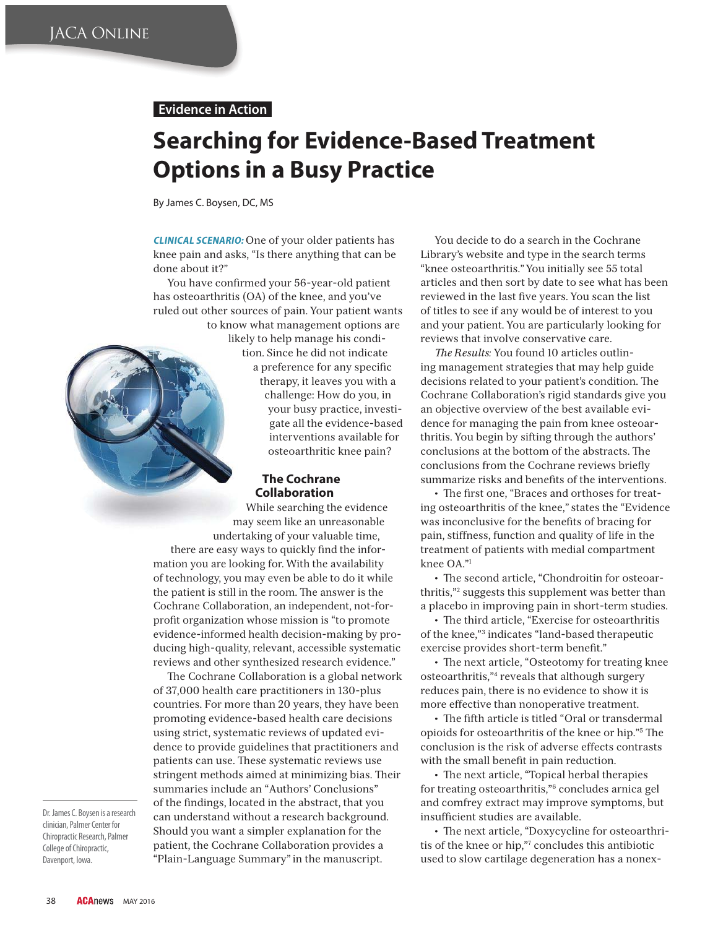### **Evidence in Action**

# **Searching for Evidence-Based Treatment Options in a Busy Practice**

By James C. Boysen, DC, MS

**CLINICAL SCENARIO:** One of your older patients has knee pain and asks, "Is there anything that can be done about it?"

You have confirmed your 56-year-old patient has osteoarthritis (OA) of the knee, and you've ruled out other sources of pain. Your patient wants to know what management options are

likely to help manage his condition. Since he did not indicate a preference for any specific therapy, it leaves you with a challenge: How do you, in your busy practice, investigate all the evidence-based interventions available for osteoarthritic knee pain?

#### **The Cochrane Collaboration**

While searching the evidence may seem like an unreasonable undertaking of your valuable time, there are easy ways to quickly find the information you are looking for. With the availability

of technology, you may even be able to do it while the patient is still in the room. The answer is the Cochrane Collaboration, an independent, not-forprofit organization whose mission is "to promote" evidence-informed health decision-making by producing high-quality, relevant, accessible systematic reviews and other synthesized research evidence."

The Cochrane Collaboration is a global network of 37,000 health care practitioners in 130-plus countries. For more than 20 years, they have been promoting evidence-based health care decisions using strict, systematic reviews of updated evidence to provide guidelines that practitioners and patients can use. These systematic reviews use stringent methods aimed at minimizing bias. Their summaries include an "Authors' Conclusions" of the findings, located in the abstract, that you can understand without a research background. Should you want a simpler explanation for the patient, the Cochrane Collaboration provides a "Plain-Language Summary" in the manuscript.

You decide to do a search in the Cochrane Library's website and type in the search terms "knee osteoarthritis." You initially see 55 total articles and then sort by date to see what has been reviewed in the last five years. You scan the list of titles to see if any would be of interest to you and your patient. You are particularly looking for reviews that involve conservative care.

*The Results: You found 10 articles outlin*ing management strategies that may help guide decisions related to your patient's condition. The Cochrane Collaboration's rigid standards give you an objective overview of the best available evidence for managing the pain from knee osteoarthritis. You begin by sifting through the authors' conclusions at the bottom of the abstracts. The conclusions from the Cochrane reviews briefly summarize risks and benefits of the interventions.

• The first one, "Braces and orthoses for treating osteoarthritis of the knee," states the "Evidence was inconclusive for the benefits of bracing for pain, stiffness, function and quality of life in the treatment of patients with medial compartment knee OA."1

 $\cdot$  The second article, "Chondroitin for osteoarthritis,"2 suggests this supplement was better than a placebo in improving pain in short-term studies.

• The third article, "Exercise for osteoarthritis of the knee,"3 indicates "land-based therapeutic exercise provides short-term benefit."

 $\cdot$  The next article, "Osteotomy for treating knee osteoarthritis,"4 reveals that although surgery reduces pain, there is no evidence to show it is more effective than nonoperative treatment.

 $\cdot$  The fifth article is titled "Oral or transdermal opioids for osteoarthritis of the knee or hip."<sup>5</sup> The conclusion is the risk of adverse effects contrasts with the small benefit in pain reduction.

 $\cdot$  The next article, "Topical herbal therapies for treating osteoarthritis,"6 concludes arnica gel and comfrey extract may improve symptoms, but insufficient studies are available.

• The next article, "Doxycycline for osteoarthritis of the knee or hip,"7 concludes this antibiotic used to slow cartilage degeneration has a nonex-

Dr. James C. Boysen is a research clinician, Palmer Center for Chiropractic Research, Palmer College of Chiropractic, Davenport, Iowa.